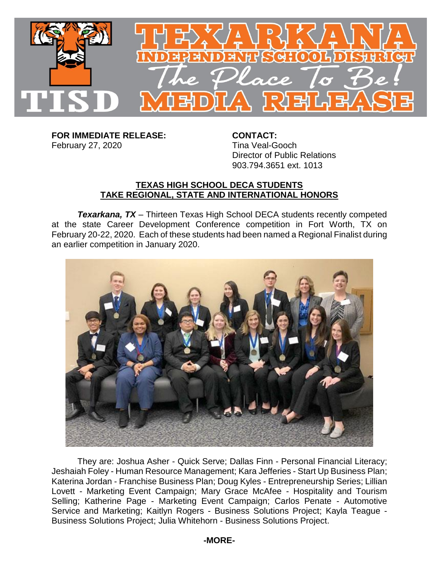

**FOR IMMEDIATE RELEASE: CONTACT:** February 27, 2020 Tina Veal-Gooch

Director of Public Relations 903.794.3651 ext. 1013

## **TEXAS HIGH SCHOOL DECA STUDENTS TAKE REGIONAL, STATE AND INTERNATIONAL HONORS**

*Texarkana, TX* – Thirteen Texas High School DECA students recently competed at the state Career Development Conference competition in Fort Worth, TX on February 20-22, 2020. Each of these students had been named a Regional Finalist during an earlier competition in January 2020.



They are: Joshua Asher - Quick Serve; Dallas Finn - Personal Financial Literacy; Jeshaiah Foley - Human Resource Management; Kara Jefferies - Start Up Business Plan; Katerina Jordan - Franchise Business Plan; Doug Kyles - Entrepreneurship Series; Lillian Lovett - Marketing Event Campaign; Mary Grace McAfee - Hospitality and Tourism Selling; Katherine Page - Marketing Event Campaign; Carlos Penate - Automotive Service and Marketing; Kaitlyn Rogers - Business Solutions Project; Kayla Teague - Business Solutions Project; Julia Whitehorn - Business Solutions Project.